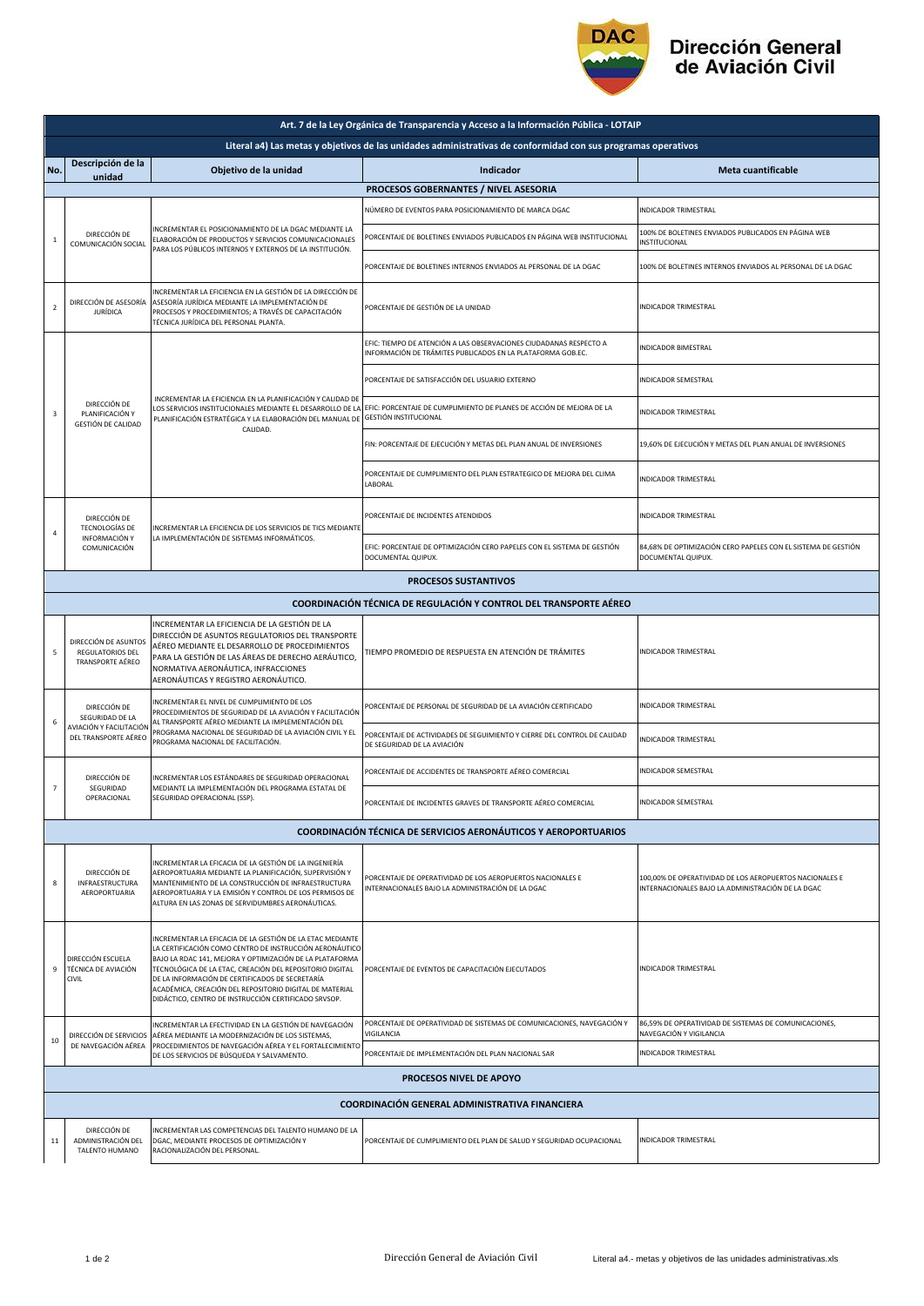

## Dirección General<br>de Aviación Civil

| Art. 7 de la Ley Orgánica de Transparencia y Acceso a la Información Pública - LOTAIP                         |                                                                                    |                                                                                                                                                                                                                                                                                                                                                                                                                    |                                                                                                                                   |                                                                                                              |  |  |  |  |
|---------------------------------------------------------------------------------------------------------------|------------------------------------------------------------------------------------|--------------------------------------------------------------------------------------------------------------------------------------------------------------------------------------------------------------------------------------------------------------------------------------------------------------------------------------------------------------------------------------------------------------------|-----------------------------------------------------------------------------------------------------------------------------------|--------------------------------------------------------------------------------------------------------------|--|--|--|--|
| Literal a4) Las metas y objetivos de las unidades administrativas de conformidad con sus programas operativos |                                                                                    |                                                                                                                                                                                                                                                                                                                                                                                                                    |                                                                                                                                   |                                                                                                              |  |  |  |  |
| No.                                                                                                           | Descripción de la<br>unidad                                                        | Objetivo de la unidad                                                                                                                                                                                                                                                                                                                                                                                              | Indicador                                                                                                                         | Meta cuantificable                                                                                           |  |  |  |  |
|                                                                                                               | PROCESOS GOBERNANTES / NIVEL ASESORIA                                              |                                                                                                                                                                                                                                                                                                                                                                                                                    |                                                                                                                                   |                                                                                                              |  |  |  |  |
|                                                                                                               | DIRECCIÓN DE<br>$\mathbf{1}$<br>COMUNICACIÓN SOCIAL                                | NCREMENTAR EL POSICIONAMIENTO DE LA DGAC MEDIANTE LA<br>ELABORACIÓN DE PRODUCTOS Y SERVICIOS COMUNICACIONALES<br>PARA LOS PÚBLICOS INTERNOS Y EXTERNOS DE LA INSTITUCIÓN.                                                                                                                                                                                                                                          | NÚMERO DE EVENTOS PARA POSICIONAMIENTO DE MARCA DGAC                                                                              | INDICADOR TRIMESTRAL                                                                                         |  |  |  |  |
|                                                                                                               |                                                                                    |                                                                                                                                                                                                                                                                                                                                                                                                                    | PORCENTAJE DE BOLETINES ENVIADOS PUBLICADOS EN PÁGINA WEB INSTITUCIONAL                                                           | 100% DE BOLETINES ENVIADOS PUBLICADOS EN PÁGINA WEB<br>INSTITUCIONAL                                         |  |  |  |  |
|                                                                                                               |                                                                                    |                                                                                                                                                                                                                                                                                                                                                                                                                    | PORCENTAJE DE BOLETINES INTERNOS ENVIADOS AL PERSONAL DE LA DGAC                                                                  | 100% DE BOLETINES INTERNOS ENVIADOS AL PERSONAL DE LA DGAC                                                   |  |  |  |  |
| $\mathbf 2$                                                                                                   | DIRECCIÓN DE ASESORÍA<br><b>JURÍDICA</b>                                           | INCREMENTAR LA EFICIENCIA EN LA GESTIÓN DE LA DIRECCIÓN DE<br>ASESORÍA JURÍDICA MEDIANTE LA IMPLEMENTACIÓN DE<br>PROCESOS Y PROCEDIMIENTOS; A TRAVÉS DE CAPACITACIÓN<br>TÉCNICA JURÍDICA DEL PERSONAL PLANTA.                                                                                                                                                                                                      | PORCENTAJE DE GESTIÓN DE LA UNIDAD                                                                                                | <b>INDICADOR TRIMESTRAL</b>                                                                                  |  |  |  |  |
|                                                                                                               | DIRECCIÓN DE<br>PLANIFICACIÓN Y<br>GESTIÓN DE CALIDAD                              | INCREMENTAR LA EFICIENCIA EN LA PLANIFICACIÓN Y CALIDAD DE<br>LOS SERVICIOS INSTITUCIONALES MEDIANTE EL DESARROLLO DE LA<br>PLANIFICACIÓN ESTRATÉGICA Y LA ELABORACIÓN DEL MANUAL DE<br>CALIDAD.                                                                                                                                                                                                                   | EFIC: TIEMPO DE ATENCIÓN A LAS OBSERVACIONES CIUDADANAS RESPECTO A<br>INFORMACIÓN DE TRÁMITES PUBLICADOS EN LA PLATAFORMA GOB.EC. | <b>INDICADOR BIMESTRAL</b>                                                                                   |  |  |  |  |
|                                                                                                               |                                                                                    |                                                                                                                                                                                                                                                                                                                                                                                                                    | PORCENTAJE DE SATISFACCIÓN DEL USUARIO EXTERNO                                                                                    | INDICADOR SEMESTRAL                                                                                          |  |  |  |  |
| 3                                                                                                             |                                                                                    |                                                                                                                                                                                                                                                                                                                                                                                                                    | EFIC: PORCENTAJE DE CUMPLIMIENTO DE PLANES DE ACCIÓN DE MEJORA DE LA<br><b>GESTIÓN INSTITUCIONAL</b>                              | INDICADOR TRIMESTRAL                                                                                         |  |  |  |  |
|                                                                                                               |                                                                                    |                                                                                                                                                                                                                                                                                                                                                                                                                    | FIN: PORCENTAJE DE EJECUCIÓN Y METAS DEL PLAN ANUAL DE INVERSIONES                                                                | 19,60% DE EJECUCIÓN Y METAS DEL PLAN ANUAL DE INVERSIONES                                                    |  |  |  |  |
|                                                                                                               |                                                                                    |                                                                                                                                                                                                                                                                                                                                                                                                                    | PORCENTAJE DE CUMPLIMIENTO DEL PLAN ESTRATEGICO DE MEJORA DEL CLIMA<br>LABORAL                                                    | INDICADOR TRIMESTRAL                                                                                         |  |  |  |  |
| $\overline{4}$                                                                                                | DIRECCIÓN DE<br><b>TECNOLOGÍAS DE</b><br>INFORMACIÓN Y<br>COMUNICACIÓN             | INCREMENTAR LA EFICIENCIA DE LOS SERVICIOS DE TICS MEDIANTE<br>LA IMPLEMENTACIÓN DE SISTEMAS INFORMÁTICOS.                                                                                                                                                                                                                                                                                                         | PORCENTAJE DE INCIDENTES ATENDIDOS                                                                                                | INDICADOR TRIMESTRAL                                                                                         |  |  |  |  |
|                                                                                                               |                                                                                    |                                                                                                                                                                                                                                                                                                                                                                                                                    | EFIC: PORCENTAJE DE OPTIMIZACIÓN CERO PAPELES CON EL SISTEMA DE GESTIÓN<br>DOCUMENTAL QUIPUX.                                     | 84,68% DE OPTIMIZACIÓN CERO PAPELES CON EL SISTEMA DE GESTIÓN<br>DOCUMENTAL QUIPUX.                          |  |  |  |  |
|                                                                                                               |                                                                                    |                                                                                                                                                                                                                                                                                                                                                                                                                    | <b>PROCESOS SUSTANTIVOS</b>                                                                                                       |                                                                                                              |  |  |  |  |
|                                                                                                               |                                                                                    |                                                                                                                                                                                                                                                                                                                                                                                                                    | <b>COORDINACIÓN TÉCNICA DE REGULACIÓN Y CONTROL DEL TRANSPORTE AÉREO</b>                                                          |                                                                                                              |  |  |  |  |
| 5                                                                                                             | DIRECCIÓN DE ASUNTOS<br>REGULATORIOS DEL<br>TRANSPORTE AÉREO                       | INCREMENTAR LA EFICIENCIA DE LA GESTIÓN DE LA<br>DIRECCIÓN DE ASUNTOS REGULATORIOS DEL TRANSPORTE<br>AÉREO MEDIANTE EL DESARROLLO DE PROCEDIMIENTOS<br>PARA LA GESTIÓN DE LAS ÁREAS DE DERECHO AERÁUTICO,<br>NORMATIVA AERONÁUTICA, INFRACCIONES<br>AERONÁUTICAS Y REGISTRO AERONÁUTICO.                                                                                                                           | TIEMPO PROMEDIO DE RESPUESTA EN ATENCIÓN DE TRÁMITES                                                                              | INDICADOR TRIMESTRAL                                                                                         |  |  |  |  |
| 6                                                                                                             | DIRECCIÓN DE<br>SEGURIDAD DE LA<br>AVIACIÓN Y FACILITACIÓN<br>DEL TRANSPORTE AÉREO | INCREMENTAR EL NIVEL DE CUMPLIMIENTO DE LOS<br>PROCEDIMIENTOS DE SEGURIDAD DE LA AVIACIÓN Y FACILITACIÓN<br>AL TRANSPORTE AÉREO MEDIANTE LA IMPLEMENTACIÓN DEL<br>PROGRAMA NACIONAL DE SEGURIDAD DE LA AVIACIÓN CIVIL Y EL<br>PROGRAMA NACIONAL DE FACILITACIÓN.                                                                                                                                                   | PORCENTAJE DE PERSONAL DE SEGURIDAD DE LA AVIACIÓN CERTIFICADO                                                                    | INDICADOR TRIMESTRAL                                                                                         |  |  |  |  |
|                                                                                                               |                                                                                    |                                                                                                                                                                                                                                                                                                                                                                                                                    | PORCENTAJE DE ACTIVIDADES DE SEGUIMIENTO Y CIERRE DEL CONTROL DE CALIDAD<br>DE SEGURIDAD DE LA AVIACIÓN                           | INDICADOR TRIMESTRAL                                                                                         |  |  |  |  |
| $\overline{7}$                                                                                                | DIRECCIÓN DE<br>SEGURIDAD<br>OPERACIONAL                                           | NCREMENTAR LOS ESTÁNDARES DE SEGURIDAD OPERACIONAL<br>MEDIANTE LA IMPLEMENTACIÓN DEL PROGRAMA ESTATAL DE<br>SEGURIDAD OPERACIONAL (SSP).                                                                                                                                                                                                                                                                           | PORCENTAJE DE ACCIDENTES DE TRANSPORTE AÉREO COMERCIAL                                                                            | INDICADOR SEMESTRAL                                                                                          |  |  |  |  |
|                                                                                                               |                                                                                    |                                                                                                                                                                                                                                                                                                                                                                                                                    | PORCENTAJE DE INCIDENTES GRAVES DE TRANSPORTE AÉREO COMERCIAL                                                                     | INDICADOR SEMESTRAL                                                                                          |  |  |  |  |
| <b>COORDINACIÓN TÉCNICA DE SERVICIOS AERONÁUTICOS Y AEROPORTUARIOS</b>                                        |                                                                                    |                                                                                                                                                                                                                                                                                                                                                                                                                    |                                                                                                                                   |                                                                                                              |  |  |  |  |
| 8                                                                                                             | DIRECCIÓN DE<br><b>INFRAESTRUCTURA</b><br>AEROPORTUARIA                            | INCREMENTAR LA EFICACIA DE LA GESTIÓN DE LA INGENIERÍA<br>AEROPORTUARIA MEDIANTE LA PLANIFICACIÓN, SUPERVISIÓN Y<br>MANTENIMIENTO DE LA CONSTRUCCIÓN DE INFRAESTRUCTURA<br>AEROPORTUARIA Y LA EMISIÓN Y CONTROL DE LOS PERMISOS DE<br>ALTURA EN LAS ZONAS DE SERVIDUMBRES AERONÁUTICAS.                                                                                                                            | PORCENTAJE DE OPERATIVIDAD DE LOS AEROPUERTOS NACIONALES E<br>INTERNACIONALES BAJO LA ADMINISTRACIÓN DE LA DGAC                   | 100,00% DE OPERATIVIDAD DE LOS AEROPUERTOS NACIONALES E<br>INTERNACIONALES BAJO LA ADMINISTRACIÓN DE LA DGAC |  |  |  |  |
| 9                                                                                                             | DIRECCIÓN ESCUELA<br>TÉCNICA DE AVIACIÓN<br>CIVIL                                  | INCREMENTAR LA EFICACIA DE LA GESTIÓN DE LA ETAC MEDIANTE<br>LA CERTIFICACIÓN COMO CENTRO DE INSTRUCCIÓN AERONÁUTICO<br>BAJO LA RDAC 141, MEJORA Y OPTIMIZACIÓN DE LA PLATAFORMA<br>TECNOLÓGICA DE LA ETAC, CREACIÓN DEL REPOSITORIO DIGITAL<br>DE LA INFORMACIÓN DE CERTIFICADOS DE SECRETARÍA<br>ACADÉMICA, CREACIÓN DEL REPOSITORIO DIGITAL DE MATERIAL<br>DIDÁCTICO, CENTRO DE INSTRUCCIÓN CERTIFICADO SRVSOP. | PORCENTAJE DE EVENTOS DE CAPACITACIÓN EJECUTADOS                                                                                  | INDICADOR TRIMESTRAL                                                                                         |  |  |  |  |
|                                                                                                               | DIRECCIÓN DE SERVICIOS                                                             | INCREMENTAR LA EFECTIVIDAD EN LA GESTIÓN DE NAVEGACIÓN<br>AÉREA MEDIANTE LA MODERNIZACIÓN DE LOS SISTEMAS,                                                                                                                                                                                                                                                                                                         | PORCENTAJE DE OPERATIVIDAD DE SISTEMAS DE COMUNICACIONES, NAVEGACIÓN Y<br>VIGILANCIA                                              | 86,59% DE OPERATIVIDAD DE SISTEMAS DE COMUNICACIONES,<br>NAVEGACIÓN Y VIGILANCIA                             |  |  |  |  |
| 10                                                                                                            | DE NAVEGACIÓN AÉREA                                                                | PROCEDIMIENTOS DE NAVEGACIÓN AÉREA Y EL FORTALECIMIENTO<br>DE LOS SERVICIOS DE BÚSQUEDA Y SALVAMENTO.                                                                                                                                                                                                                                                                                                              | PORCENTAJE DE IMPLEMENTACIÓN DEL PLAN NACIONAL SAR                                                                                | INDICADOR TRIMESTRAL                                                                                         |  |  |  |  |
|                                                                                                               | <b>PROCESOS NIVEL DE APOYO</b>                                                     |                                                                                                                                                                                                                                                                                                                                                                                                                    |                                                                                                                                   |                                                                                                              |  |  |  |  |
| COORDINACIÓN GENERAL ADMINISTRATIVA FINANCIERA                                                                |                                                                                    |                                                                                                                                                                                                                                                                                                                                                                                                                    |                                                                                                                                   |                                                                                                              |  |  |  |  |
| 11                                                                                                            | DIRECCIÓN DE<br>ADMINISTRACIÓN DEL<br>TALENTO HUMANO                               | INCREMENTAR LAS COMPETENCIAS DEL TALENTO HUMANO DE LA<br>DGAC, MEDIANTE PROCESOS DE OPTIMIZACIÓN Y<br>RACIONALIZACIÓN DEL PERSONAL.                                                                                                                                                                                                                                                                                | PORCENTAJE DE CUMPLIMIENTO DEL PLAN DE SALUD Y SEGURIDAD OCUPACIONAL                                                              | INDICADOR TRIMESTRAL                                                                                         |  |  |  |  |